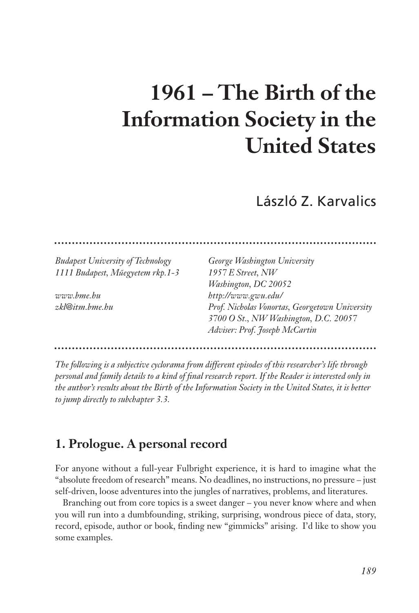# **1961 – The Birth of the Information Society in the United States**

László Z. Karvalics

*Budapest University of Technology George Washington University 1111 Budapest, Műegyetem rkp.1-3 1957 E Street, NW*

*Washington, DC 20052 www.bme.hu http://www.gwu.edu/ zkl@itm.bme.hu Prof. Nicholas Vonortas, Georgetown University 3700 O St., NW Washington, D.C. 20057 Adviser: Prof. Joseph McCartin* 

*The following is a subjective cyclorama from different episodes of this researcher's life through personal and family details to a kind of final research report. If the Reader is interested only in the author's results about the Birth of the Information Society in the United States, it is better to jump directly to subchapter 3.3.* 

# **1. Prologue. A personal record**

For anyone without a full-year Fulbright experience, it is hard to imagine what the "absolute freedom of research" means. No deadlines, no instructions, no pressure – just self-driven, loose adventures into the jungles of narratives, problems, and literatures.

Branching out from core topics is a sweet danger – you never know where and when you will run into a dumbfounding, striking, surprising, wondrous piece of data, story, record, episode, author or book, finding new "gimmicks" arising. I'd like to show you some examples.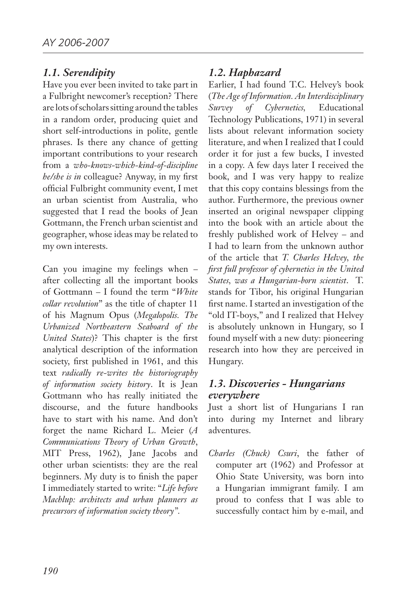#### *1.1. Serendipity*

Have you ever been invited to take part in a Fulbright newcomer's reception? There are lots of scholars sitting around the tables in a random order, producing quiet and short self-introductions in polite, gentle phrases. Is there any chance of getting important contributions to your research from a *who-knows-which-kind-of-discipline he/she is in* colleague? Anyway, in my first official Fulbright community event, I met an urban scientist from Australia, who suggested that I read the books of Jean Gottmann, the French urban scientist and geographer, whose ideas may be related to my own interests.

Can you imagine my feelings when – after collecting all the important books of Gottmann – I found the term "*White collar revolution*" as the title of chapter 11 of his Magnum Opus (*Megalopolis. The Urbanized Northeastern Seaboard of the United States*)? This chapter is the first analytical description of the information society, first published in 1961, and this text *radically re-writes the historiography of information society history*. It is Jean Gottmann who has really initiated the discourse, and the future handbooks have to start with his name. And don't forget the name Richard L. Meier (*A Communications Theory of Urban Growth*, MIT Press, 1962), Jane Jacobs and other urban scientists: they are the real beginners. My duty is to finish the paper I immediately started to write: "*Life before Machlup: architects and urban planners as precursors of information society theory".*

#### *1.2. Haphazard*

Earlier, I had found T.C. Helvey's book (*The Age of Information. An Interdisciplinary Survey of Cybernetics,* Educational Technology Publications, 1971) in several lists about relevant information society literature, and when I realized that I could order it for just a few bucks, I invested in a copy. A few days later I received the book, and I was very happy to realize that this copy contains blessings from the author. Furthermore, the previous owner inserted an original newspaper clipping into the book with an article about the freshly published work of Helvey – and I had to learn from the unknown author of the article that *T. Charles Helvey, the first full professor of cybernetics in the United States, was a Hungarian-born scientist*. T. stands for Tibor, his original Hungarian first name. I started an investigation of the "old IT-boys," and I realized that Helvey is absolutely unknown in Hungary, so I found myself with a new duty: pioneering research into how they are perceived in Hungary.

#### *1.3. Discoveries - Hungarians everywhere*

Just a short list of Hungarians I ran into during my Internet and library adventures.

*Charles (Chuck) Csuri*, the father of computer art (1962) and Professor at Ohio State University, was born into a Hungarian immigrant family. I am proud to confess that I was able to successfully contact him by e-mail, and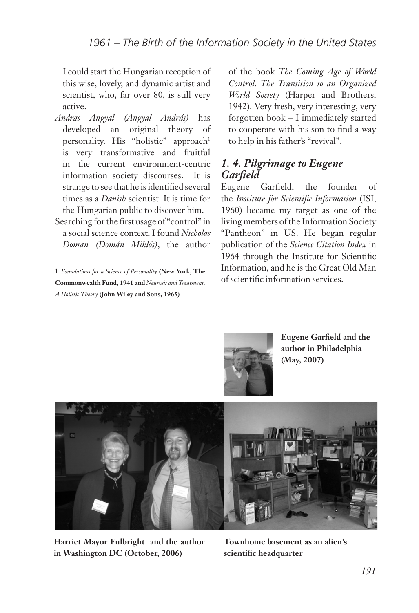I could start the Hungarian reception of this wise, lovely, and dynamic artist and scientist, who, far over 80, is still very active.

- *Andras Angyal (Angyal András)* has developed an original theory of personality. His "holistic" approach<sup>1</sup> is very transformative and fruitful in the current environment-centric information society discourses. It is strange to see that he is identified several times as a *Danish* scientist. It is time for the Hungarian public to discover him.
- Searching for the first usage of "control" in a social science context, I found *Nicholas Doman (Domán Miklós)*, the author

of the book *The Coming Age of World Control. The Transition to an Organized World Society* (Harper and Brothers, 1942). Very fresh, very interesting, very forgotten book – I immediately started to cooperate with his son to find a way to help in his father's "revival".

#### *1. 4. Pilgrimage to Eugene Garfield*

Eugene Garfield, the founder of the *Institute for Scientific Information* (ISI, 1960) became my target as one of the living members of the Information Society "Pantheon" in US. He began regular publication of the *Science Citation Index* in 1964 through the Institute for Scientific Information, and he is the Great Old Man of scientific information services.



**Eugene Garfield and the author in Philadelphia (May, 2007)**



**Harriet Mayor Fulbright and the author in Washington DC (October, 2006)**

**Townhome basement as an alien's scientific headquarter**

<sup>1</sup> *Foundations for a Science of Personality* **(New York, The Commonwealth Fund, 1941 and** *Neurosis and Treatment. A Holistic Theory* **(John Wiley and Sons, 1965)**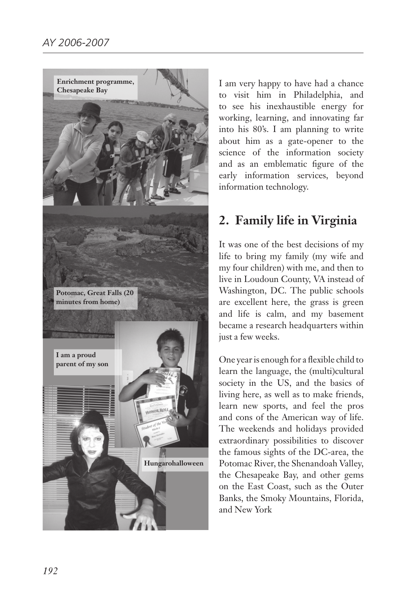

I am very happy to have had a chance to visit him in Philadelphia, and to see his inexhaustible energy for working, learning, and innovating far into his 80's. I am planning to write about him as a gate-opener to the science of the information society and as an emblematic figure of the early information services, beyond information technology.

# **2. Family life in Virginia**

It was one of the best decisions of my life to bring my family (my wife and my four children) with me, and then to live in Loudoun County, VA instead of Washington, DC. The public schools are excellent here, the grass is green and life is calm, and my basement became a research headquarters within just a few weeks.

One year is enough for a flexible child to learn the language, the (multi)cultural society in the US, and the basics of living here, as well as to make friends, learn new sports, and feel the pros and cons of the American way of life. The weekends and holidays provided extraordinary possibilities to discover the famous sights of the DC-area, the Potomac River, the Shenandoah Valley, the Chesapeake Bay, and other gems on the East Coast, such as the Outer Banks, the Smoky Mountains, Florida, and New York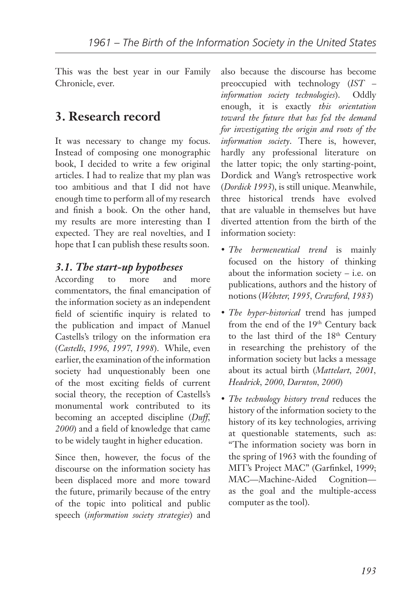This was the best year in our Family Chronicle, ever.

# **3. Research record**

It was necessary to change my focus. Instead of composing one monographic book, I decided to write a few original articles. I had to realize that my plan was too ambitious and that I did not have enough time to perform all of my research and finish a book. On the other hand, my results are more interesting than I expected. They are real novelties, and I hope that I can publish these results soon.

## *3.1. The start-up hypotheses*

According to more and more commentators, the final emancipation of the information society as an independent field of scientific inquiry is related to the publication and impact of Manuel Castells's trilogy on the information era (*Castells, 1996, 1997, 1998*). While, even earlier, the examination of the information society had unquestionably been one of the most exciting fields of current social theory, the reception of Castells's monumental work contributed to its becoming an accepted discipline (*Duff, 2000*) and a field of knowledge that came to be widely taught in higher education.

Since then, however, the focus of the discourse on the information society has been displaced more and more toward the future, primarily because of the entry of the topic into political and public speech (*information society strategies*) and

also because the discourse has become preoccupied with technology (*IST – information society technologies*). Oddly enough, it is exactly *this orientation toward the future that has fed the demand for investigating the origin and roots of the information society*. There is, however, hardly any professional literature on the latter topic; the only starting-point, Dordick and Wang's retrospective work (*Dordick 1993*), is still unique. Meanwhile, three historical trends have evolved that are valuable in themselves but have diverted attention from the birth of the information society:

- • *The hermeneutical trend* is mainly focused on the history of thinking about the information society – i.e. on publications, authors and the history of notions (*Webster, 1995, Crawford, 1983*)
- • *The hyper-historical* trend has jumped from the end of the 19<sup>th</sup> Century back to the last third of the 18<sup>th</sup> Century in researching the prehistory of the information society but lacks a message about its actual birth (*Mattelart, 2001, Headrick, 2000, Darnton, 2000*)
- • *The technology history trend* reduces the history of the information society to the history of its key technologies, arriving at questionable statements, such as: "The information society was born in the spring of 1963 with the founding of MIT's Project MAC" (Garfinkel, 1999; MAC—Machine-Aided Cognition as the goal and the multiple-access computer as the tool).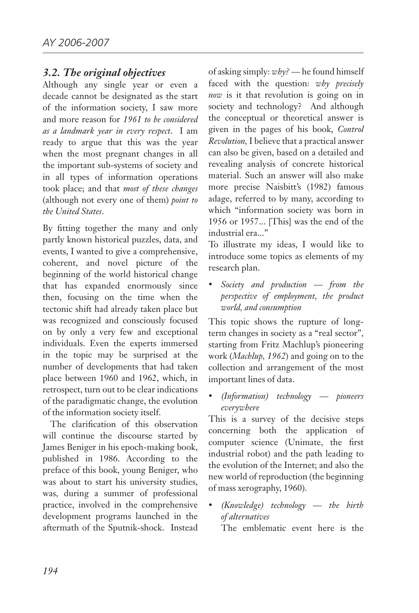#### *3.2. The original objectives*

Although any single year or even a decade cannot be designated as the start of the information society, I saw more and more reason for *1961 to be considered as a landmark year in every respect*. I am ready to argue that this was the year when the most pregnant changes in all the important sub-systems of society and in all types of information operations took place; and that *most of these changes* (although not every one of them) *point to the United States*.

By fitting together the many and only partly known historical puzzles, data, and events, I wanted to give a comprehensive, coherent, and novel picture of the beginning of the world historical change that has expanded enormously since then, focusing on the time when the tectonic shift had already taken place but was recognized and consciously focused on by only a very few and exceptional individuals. Even the experts immersed in the topic may be surprised at the number of developments that had taken place between 1960 and 1962, which, in retrospect, turn out to be clear indications of the paradigmatic change, the evolution of the information society itself.

The clarification of this observation will continue the discourse started by James Beniger in his epoch-making book, published in 1986. According to the preface of this book, young Beniger, who was about to start his university studies, was, during a summer of professional practice, involved in the comprehensive development programs launched in the aftermath of the Sputnik-shock. Instead of asking simply: *why? —* he found himself faced with the question: *why precisely now* is it that revolution is going on in society and technology? And although the conceptual or theoretical answer is given in the pages of his book, *Control Revolution,* I believe that a practical answer can also be given, based on a detailed and revealing analysis of concrete historical material. Such an answer will also make more precise Naisbitt's (1982) famous adage, referred to by many, according to which "information society was born in 1956 or 1957... [This] was the end of the industrial era..."

To illustrate my ideas, I would like to introduce some topics as elements of my research plan.

Society and production — from the *perspective of employment, the product world, and consumption*

This topic shows the rupture of longterm changes in society as a "real sector", starting from Fritz Machlup's pioneering work (*Machlup, 1962*) and going on to the collection and arrangement of the most important lines of data.

• *(Information) technology — pioneers everywhere*

This is a survey of the decisive steps concerning both the application of computer science (Unimate, the first industrial robot) and the path leading to the evolution of the Internet; and also the new world of reproduction (the beginning of mass xerography, 1960).

• *(Knowledge) technology — the birth of alternatives* 

The emblematic event here is the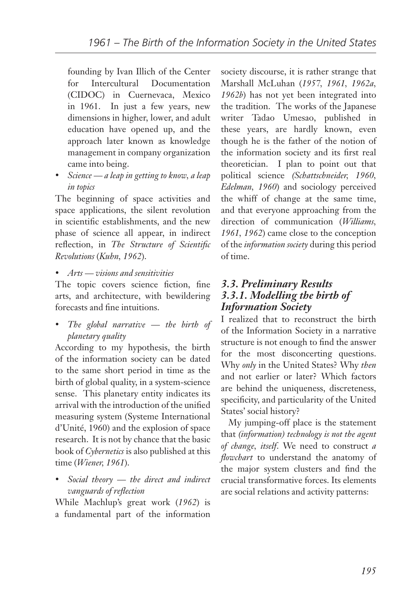founding by Ivan Illich of the Center for Intercultural Documentation (CIDOC) in Cuernevaca, Mexico in 1961. In just a few years, new dimensions in higher, lower, and adult education have opened up, and the approach later known as knowledge management in company organization came into being.

• *Science — a leap in getting to know, a leap in topics*

The beginning of space activities and space applications, the silent revolution in scientific establishments, and the new phase of science all appear, in indirect reflection, in *The Structure of Scientific Revolutions* (*Kuhn, 1962*).

• *Arts — visions and sensitivities*

The topic covers science fiction, fine arts, and architecture, with bewildering forecasts and fine intuitions.

The global narrative — the birth of *planetary quality*

According to my hypothesis, the birth of the information society can be dated to the same short period in time as the birth of global quality, in a system-science sense. This planetary entity indicates its arrival with the introduction of the unified measuring system (Systeme International d'Unité, 1960) and the explosion of space research. It is not by chance that the basic book of *Cybernetics* is also published at this time (*Wiener, 1961*).

Social theory — the direct and indirect *vanguards of reflection*

While Machlup's great work (*1962*) is a fundamental part of the information society discourse, it is rather strange that Marshall McLuhan (*1957, 1961, 1962a, 1962b*) has not yet been integrated into the tradition. The works of the Japanese writer Tadao Umesao, published in these years, are hardly known, even though he is the father of the notion of the information society and its first real theoretician. I plan to point out that political science *(Schattschneider, 1960, Edelman, 1960*) and sociology perceived the whiff of change at the same time, and that everyone approaching from the direction of communication (*Williams, 1961, 1962*) came close to the conception of the *information society* during this period of time.

#### *3.3. Preliminary Results 3.3.1. Modelling the birth of Information Society*

I realized that to reconstruct the birth of the Information Society in a narrative structure is not enough to find the answer for the most disconcerting questions. Why *only* in the United States? Why *then* and not earlier or later? Which factors are behind the uniqueness, discreteness, specificity, and particularity of the United States' social history?

My jumping-off place is the statement that *(information) technology is not the agent of change, itself*. We need to construct *a flowchart* to understand the anatomy of the major system clusters and find the crucial transformative forces. Its elements are social relations and activity patterns: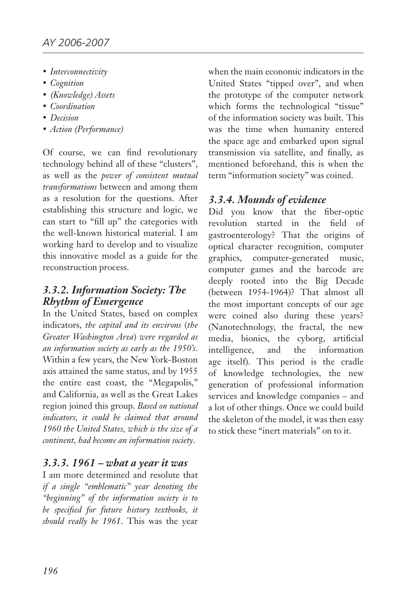- • *Interconnectivity*
- • *Cognition*
- • *(Knowledge) Assets*
- • *Coordination*
- • *Decision*
- • *Action (Performance)*

Of course, we can find revolutionary technology behind all of these "clusters", as well as the *power of consistent mutual transformations* between and among them as a resolution for the questions. After establishing this structure and logic, we can start to "fill up" the categories with the well-known historical material. I am working hard to develop and to visualize this innovative model as a guide for the reconstruction process.

## *3.3.2. Information Society: The Rhythm of Emergence*

In the United States, based on complex indicators, *the capital and its environs* (*the Greater Washington Area*) *were regarded as an information society as early as the 1950's*. Within a few years, the New York-Boston axis attained the same status, and by 1955 the entire east coast, the "Megapolis," and California, as well as the Great Lakes region joined this group. *Based on national indicators, it could be claimed that around 1960 the United States, which is the size of a continent, had become an information society*.

## *3.3.3. 1961 – what a year it was*

I am more determined and resolute that *if a single "emblematic" year denoting the "beginning" of the information society is to be specified for future history textbooks, it should really be 1961*. This was the year

when the main economic indicators in the United States "tipped over", and when the prototype of the computer network which forms the technological "tissue" of the information society was built. This was the time when humanity entered the space age and embarked upon signal transmission via satellite, and finally, as mentioned beforehand, this is when the term "information society" was coined.

## *3.3.4. Mounds of evidence*

Did you know that the fiber-optic revolution started in the field of gastroenterology? That the origins of optical character recognition, computer graphics, computer-generated music, computer games and the barcode are deeply rooted into the Big Decade (between 1954-1964)? That almost all the most important concepts of our age were coined also during these years? (Nanotechnology, the fractal, the new media, bionics, the cyborg, artificial intelligence, and the information age itself). This period is the cradle of knowledge technologies, the new generation of professional information services and knowledge companies – and a lot of other things. Once we could build the skeleton of the model, it was then easy to stick these "inert materials" on to it.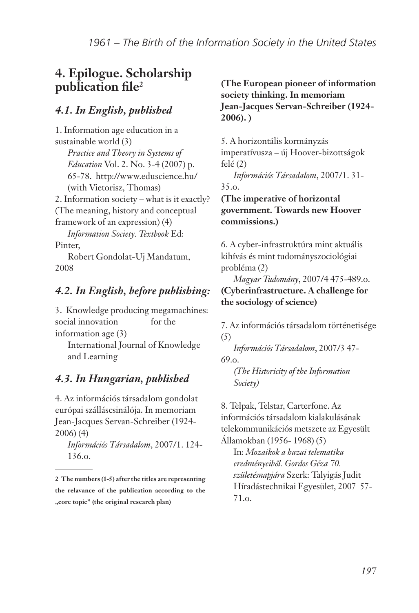# **4. Epilogue. Scholarship publication file2**

# *4.1. In English, published*

1. Information age education in a sustainable world (3) *Practice and Theory in Systems of Education* Vol. 2. No. 3-4 (2007) p. 65-78. http://www.eduscience.hu/ (with Vietorisz, Thomas) 2. Information society – what is it exactly? (The meaning, history and conceptual framework of an expression) (4) *Information Society. Textbook* Ed: Pinter, Robert Gondolat-Uj Mandatum,

# *4.2. In English, before publishing:*

2008

3. Knowledge producing megamachines: social innovation for the information age (3)

International Journal of Knowledge and Learning

# *4.3. In Hungarian, published*

4. Az információs társadalom gondolat európai szálláscsinálója. In memoriam Jean-Jacques Servan-Schreiber (1924- 2006) (4)

*Információs Társadalom*, 2007/1. 124- 136.o.

#### **(The European pioneer of information society thinking. In memoriam Jean-Jacques Servan-Schreiber (1924- 2006). )**

5. A horizontális kormányzás imperatívusza – új Hoover-bizottságok felé (2)

*Információs Társadalom*, 2007/1. 31- 35.o.

**(The imperative of horizontal government. Towards new Hoover commissions.)**

6. A cyber-infrastruktúra mint aktuális kihívás és mint tudományszociológiai probléma (2)

*Magyar Tudomány*, 2007/4 475-489.o. **(Cyberinfrastructure. A challenge for the sociology of science)**

7. Az információs társadalom történetisége (5)

*Információs Társadalom*, 2007/3 47- 69.o.

*(The Historicity of the Information Society)*

8. Telpak, Telstar, Carterfone. Az információs társadalom kialakulásának telekommunikációs metszete az Egyesült Államokban (1956- 1968) (5)

In: *Mozaikok a hazai telematika eredményeiből. Gordos Géza 70. születésnapjára* Szerk: Talyigás Judit Híradástechnikai Egyesület, 2007 57- 71.o.

**<sup>2</sup> The numbers (1-5) after the titles are representing the relavance of the publication according to the "core topic" (the original research plan)**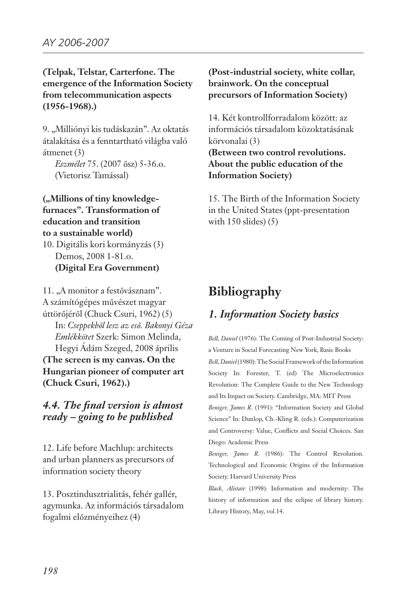#### **(Telpak, Telstar, Carterfone. The emergence of the Information Society from telecommunication aspects (1956-1968).)**

9. "Milliónyi kis tudáskazán". Az oktatás átalakítása és a fenntartható világba való átmenet (3)

*Eszmélet* 75. (2007 ősz) 5-36.o. (Vietorisz Tamással)

("Millions of tiny knowledge**furnaces". Transformation of education and transition to a sustainable world)**

10. Digitális kori kormányzás (3) Demos, 2008 1-81.o. **(Digital Era Government)** 

11. "A monitor a festővásznam". A számítógépes művészet magyar úttörőjéről (Chuck Csuri, 1962) (5) In: *Cseppekből lesz az eső. Bakonyi Géza Emlékkötet* Szerk: Simon Melinda, Hegyi Ádám Szeged, 2008 április **(The screen is my canvas. On the Hungarian pioneer of computer art (Chuck Csuri, 1962).)**

#### *4.4. The final version is almost ready – going to be published*

12. Life before Machlup: architects and urban planners as precursors of information society theory

13. Posztindusztrialitás, fehér gallér, agymunka. Az információs társadalom fogalmi előzményeihez (4)

**(Post-industrial society, white collar, brainwork. On the conceptual precursors of Information Society)**

14. Két kontrollforradalom között: az információs társadalom közoktatásának körvonalai (3)

**(Between two control revolutions. About the public education of the Information Society)**

15. The Birth of the Information Society in the United States (ppt-presentation with  $150$  slides)  $(5)$ 

# **Bibliography**

# *1. Information Society basics*

*Bell, Daniel* (1976): The Coming of Post-Industrial Society: a Venture in Social Forecasting New York, Basic Books *Bell, Daniel* (1980): The Social Framework of the Information Society In: Forester, T. (ed) The Microelectronics Revolution: The Complete Guide to the New Technology and Its Impact on Society. Cambridge, MA: MIT Press *Beniger, James R*. (1991): "Information Society and Global Science" In: Dunlop, Ch.-Kling R. (eds.): Computerization and Controversy: Value, Conflicts and Social Choices. San Diego: Academic Press

*Beniger, James R*. (1986): The Control Revolution. Technological and Economic Origins of the Information Society. Harvard University Press

*Black, Alistair* (1998): Information and modernity: The history of information and the eclipse of library history. Library History, May, vol.14.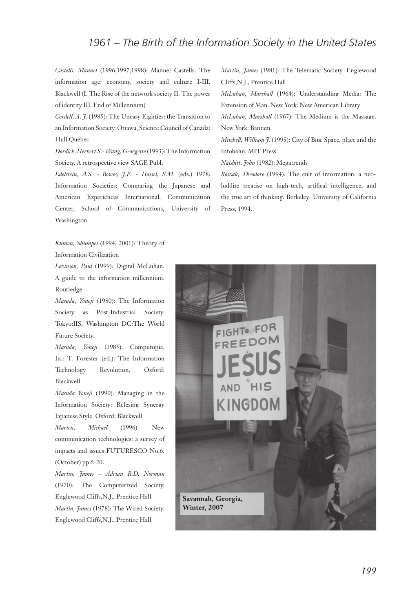*Castells, Manuel* (1996,1997,1998): Manuel Castells: The information age: economy, society and culture I-III. Blackwell (I. The Rise of the network society II. The power of identity III. End of Millennium)

*Cordell, A. J.* (1985): The Uneasy Eighties: the Transition to an Information Society. Ottawa, Science Council of Canada: Hull Quebec

*Dordick, Herbert S.- Wang, Georgette* (1993): The Information Society. A retrospective view SAGE Publ.

*Edelstein, A.S. - Bowes, J.E. - Hassel, S.M*. (eds.) 1978: Information Societies: Comparing the Japanese and American Experiences International. Communication Center, School of Communications, University of Washington

*Kumon, Shumpei* (1994, 2001): Theory of Information Civilization

*Levinson, Paul* (1999): Digital McLuhan. A guide to the information millennium. Routledge

*Masuda, Yoneji* (1980): The Information Society as Post-Industrial Society. Tokyo:IIS, Washington DC:The World Future Society.

*Masuda, Yoneji* (1985): Computopia. In.: T. Forester (ed.): The Information Technology Revolution. Oxford: Blackwell

*Masuda Yoneji* (1990): Managing in the Information Society: Relesing Synergy Japanese Style. Oxford, Blackwell

*Marien, Michael* (1996): New communication technologies: a survey of impacts and issues FUTURESCO No.6. (October) pp 6-20.

*Martin, James – Adrian R.D. Norman* (1970): The Computerized Society. Englewood Cliffs,N.J., Prentice Hall *Martin, James* (1978): The Wired Society. Englewood Cliffs,N.J., Prentice Hall

*Martin, James* (1981): The Telematic Society. Englewood Cliffs,N.J., Prentice Hall

*McLuhan, Marshall* (1964): Understanding Media: The Extension of Man. New York: New American Library

*McLuhan, Marshall* (1967): The Medium is the Massage. New York: Bantam

*Mitchell, William J.* (1995): City of Bits. Space, place and the Infobahn. MIT Press

*Naisbitt, John* (1982): Megatrends

*Roszak, Theodore* (1994): The cult of information: a neoluddite treatise on high-tech, artifical intelligence, and the true art of thinking. Berkeley: University of California Press, 1994.